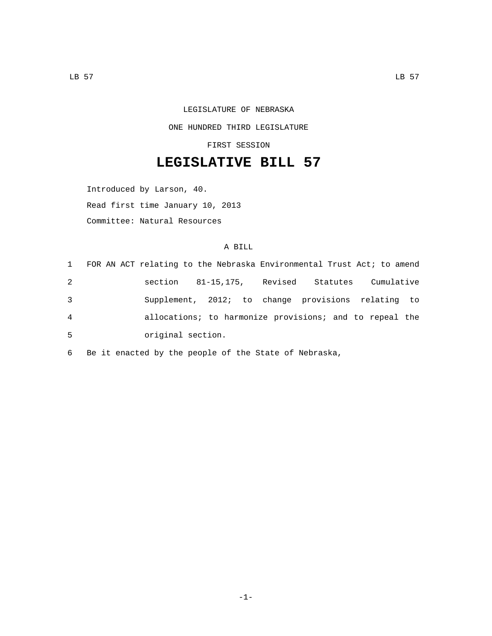## LEGISLATURE OF NEBRASKA

ONE HUNDRED THIRD LEGISLATURE

FIRST SESSION

## **LEGISLATIVE BILL 57**

Introduced by Larson, 40. Read first time January 10, 2013 Committee: Natural Resources

## A BILL

|   |                   | 1 FOR AN ACT relating to the Nebraska Environmental Trust Act; to amend |          |            |  |
|---|-------------------|-------------------------------------------------------------------------|----------|------------|--|
| 2 |                   | section 81-15,175, Revised                                              | Statutes | Cumulative |  |
| 3 |                   | Supplement, 2012; to change provisions relating to                      |          |            |  |
| 4 |                   | allocations; to harmonize provisions; and to repeal the                 |          |            |  |
| 5 | original section. |                                                                         |          |            |  |

6 Be it enacted by the people of the State of Nebraska,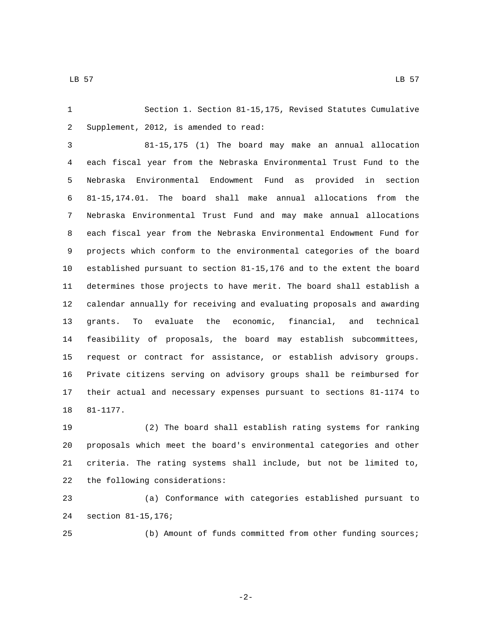Section 1. Section 81-15,175, Revised Statutes Cumulative 2 Supplement, 2012, is amended to read:

 81-15,175 (1) The board may make an annual allocation each fiscal year from the Nebraska Environmental Trust Fund to the Nebraska Environmental Endowment Fund as provided in section 81-15,174.01. The board shall make annual allocations from the Nebraska Environmental Trust Fund and may make annual allocations each fiscal year from the Nebraska Environmental Endowment Fund for projects which conform to the environmental categories of the board established pursuant to section 81-15,176 and to the extent the board determines those projects to have merit. The board shall establish a calendar annually for receiving and evaluating proposals and awarding grants. To evaluate the economic, financial, and technical feasibility of proposals, the board may establish subcommittees, request or contract for assistance, or establish advisory groups. Private citizens serving on advisory groups shall be reimbursed for their actual and necessary expenses pursuant to sections 81-1174 to 18 81-1177.

 (2) The board shall establish rating systems for ranking proposals which meet the board's environmental categories and other criteria. The rating systems shall include, but not be limited to, 22 the following considerations:

 (a) Conformance with categories established pursuant to section 81-15,176;24

(b) Amount of funds committed from other funding sources;

-2-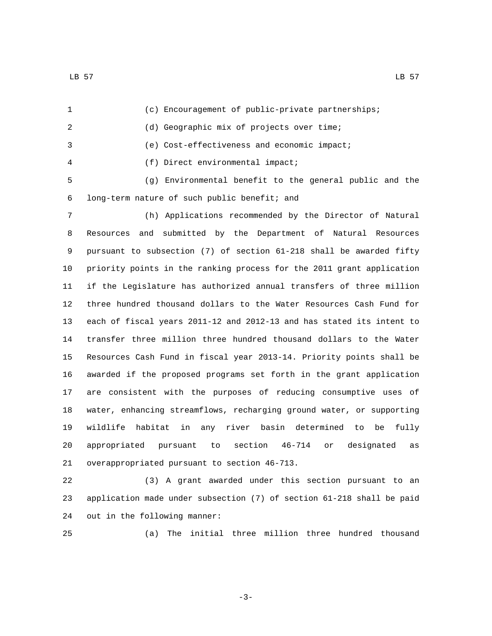(c) Encouragement of public-private partnerships; 2 (d) Geographic mix of projects over time; (e) Cost-effectiveness and economic impact; (f) Direct environmental impact;4 (g) Environmental benefit to the general public and the long-term nature of such public benefit; and6 (h) Applications recommended by the Director of Natural Resources and submitted by the Department of Natural Resources

 pursuant to subsection (7) of section 61-218 shall be awarded fifty priority points in the ranking process for the 2011 grant application if the Legislature has authorized annual transfers of three million three hundred thousand dollars to the Water Resources Cash Fund for each of fiscal years 2011-12 and 2012-13 and has stated its intent to transfer three million three hundred thousand dollars to the Water Resources Cash Fund in fiscal year 2013-14. Priority points shall be awarded if the proposed programs set forth in the grant application are consistent with the purposes of reducing consumptive uses of water, enhancing streamflows, recharging ground water, or supporting wildlife habitat in any river basin determined to be fully appropriated pursuant to section 46-714 or designated as 21 overappropriated pursuant to section 46-713.

 (3) A grant awarded under this section pursuant to an application made under subsection (7) of section 61-218 shall be paid 24 out in the following manner:

(a) The initial three million three hundred thousand

-3-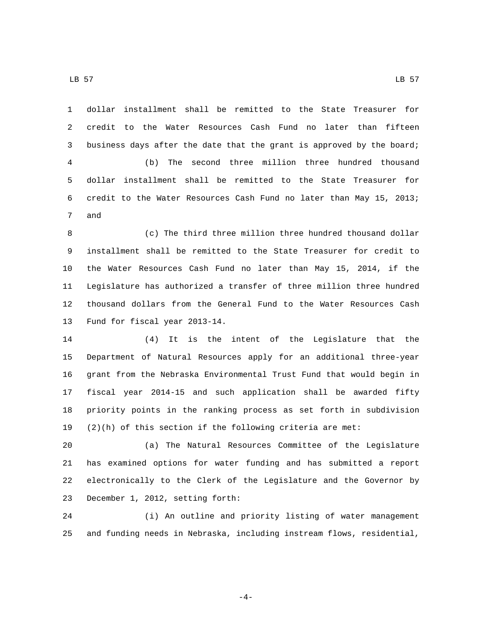LB 57 LB 57

 dollar installment shall be remitted to the State Treasurer for credit to the Water Resources Cash Fund no later than fifteen business days after the date that the grant is approved by the board; (b) The second three million three hundred thousand dollar installment shall be remitted to the State Treasurer for credit to the Water Resources Cash Fund no later than May 15, 2013; 7 and

 (c) The third three million three hundred thousand dollar installment shall be remitted to the State Treasurer for credit to the Water Resources Cash Fund no later than May 15, 2014, if the Legislature has authorized a transfer of three million three hundred thousand dollars from the General Fund to the Water Resources Cash 13 Fund for fiscal year 2013-14.

 (4) It is the intent of the Legislature that the Department of Natural Resources apply for an additional three-year grant from the Nebraska Environmental Trust Fund that would begin in fiscal year 2014-15 and such application shall be awarded fifty priority points in the ranking process as set forth in subdivision (2)(h) of this section if the following criteria are met:

 (a) The Natural Resources Committee of the Legislature has examined options for water funding and has submitted a report electronically to the Clerk of the Legislature and the Governor by 23 December 1, 2012, setting forth:

 (i) An outline and priority listing of water management and funding needs in Nebraska, including instream flows, residential,

-4-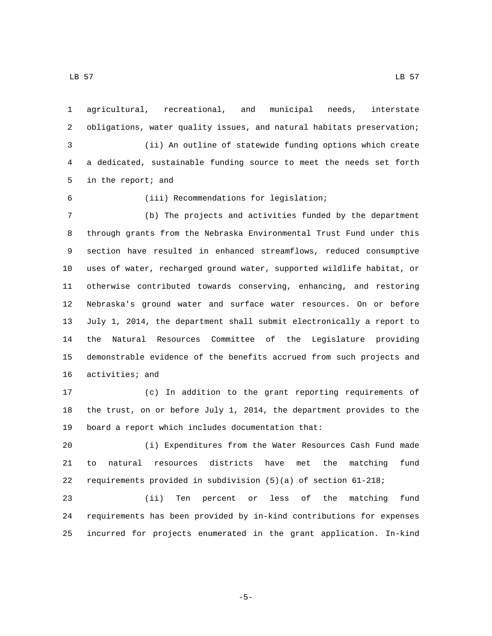agricultural, recreational, and municipal needs, interstate obligations, water quality issues, and natural habitats preservation; (ii) An outline of statewide funding options which create a dedicated, sustainable funding source to meet the needs set forth 5 in the report; and (iii) Recommendations for legislation;6 (b) The projects and activities funded by the department through grants from the Nebraska Environmental Trust Fund under this section have resulted in enhanced streamflows, reduced consumptive uses of water, recharged ground water, supported wildlife habitat, or otherwise contributed towards conserving, enhancing, and restoring Nebraska's ground water and surface water resources. On or before

 July 1, 2014, the department shall submit electronically a report to the Natural Resources Committee of the Legislature providing demonstrable evidence of the benefits accrued from such projects and 16 activities; and

 (c) In addition to the grant reporting requirements of the trust, on or before July 1, 2014, the department provides to the 19 board a report which includes documentation that:

 (i) Expenditures from the Water Resources Cash Fund made to natural resources districts have met the matching fund requirements provided in subdivision (5)(a) of section 61-218;

 (ii) Ten percent or less of the matching fund requirements has been provided by in-kind contributions for expenses incurred for projects enumerated in the grant application. In-kind

-5-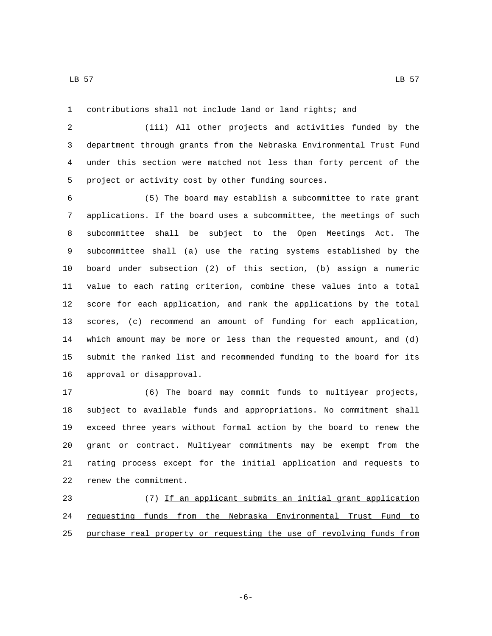LB 57 LB 57

contributions shall not include land or land rights; and

 (iii) All other projects and activities funded by the department through grants from the Nebraska Environmental Trust Fund under this section were matched not less than forty percent of the 5 project or activity cost by other funding sources.

 (5) The board may establish a subcommittee to rate grant applications. If the board uses a subcommittee, the meetings of such subcommittee shall be subject to the Open Meetings Act. The subcommittee shall (a) use the rating systems established by the board under subsection (2) of this section, (b) assign a numeric value to each rating criterion, combine these values into a total score for each application, and rank the applications by the total scores, (c) recommend an amount of funding for each application, which amount may be more or less than the requested amount, and (d) submit the ranked list and recommended funding to the board for its 16 approval or disapproval.

 (6) The board may commit funds to multiyear projects, subject to available funds and appropriations. No commitment shall exceed three years without formal action by the board to renew the grant or contract. Multiyear commitments may be exempt from the rating process except for the initial application and requests to 22 renew the commitment.

 (7) If an applicant submits an initial grant application 24 requesting funds from the Nebraska Environmental Trust Fund to purchase real property or requesting the use of revolving funds from

-6-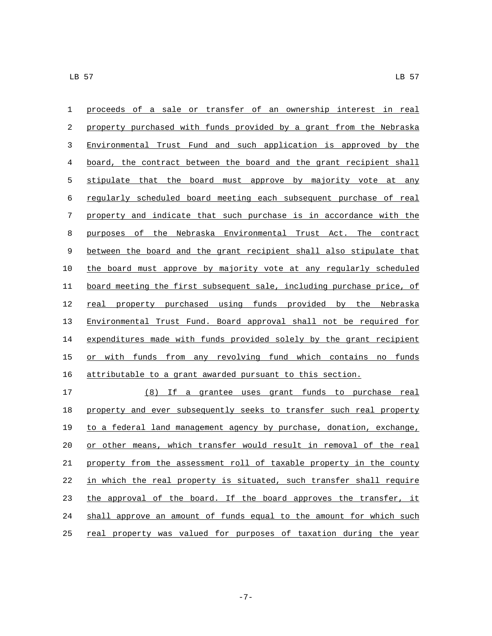| 1     | proceeds of a sale or transfer of an ownership interest in real        |
|-------|------------------------------------------------------------------------|
| 2     | property purchased with funds provided by a grant from the Nebraska    |
| 3     | Environmental Trust Fund and such application is approved by the       |
| 4     | board, the contract between the board and the grant recipient shall    |
| 5     | stipulate that the board must approve by majority vote at any          |
| 6     | regularly scheduled board meeting each subsequent purchase of real     |
| 7     | property and indicate that such purchase is in accordance with the     |
| 8     | Nebraska Environmental Trust Act. The contract<br>purposes of<br>the   |
| $\,9$ | between the board and the grant recipient shall also stipulate that    |
| 10    | the board must approve by majority vote at any regularly scheduled     |
| 11    | board meeting the first subsequent sale, including purchase price, of  |
| 12    | property purchased using funds provided by the Nebraska<br>real        |
| 13    | Environmental Trust Fund. Board approval shall not be required for     |
| 14    | expenditures made with funds provided solely by the grant recipient    |
| 15    | with funds from any revolving fund which contains<br>funds<br>no<br>or |
| 16    | attributable to a grant awarded pursuant to this section.              |

 (8) If a grantee uses grant funds to purchase real 18 property and ever subsequently seeks to transfer such real property to a federal land management agency by purchase, donation, exchange, 20 or other means, which transfer would result in removal of the real property from the assessment roll of taxable property in the county in which the real property is situated, such transfer shall require 23 the approval of the board. If the board approves the transfer, it shall approve an amount of funds equal to the amount for which such 25 real property was valued for purposes of taxation during the year